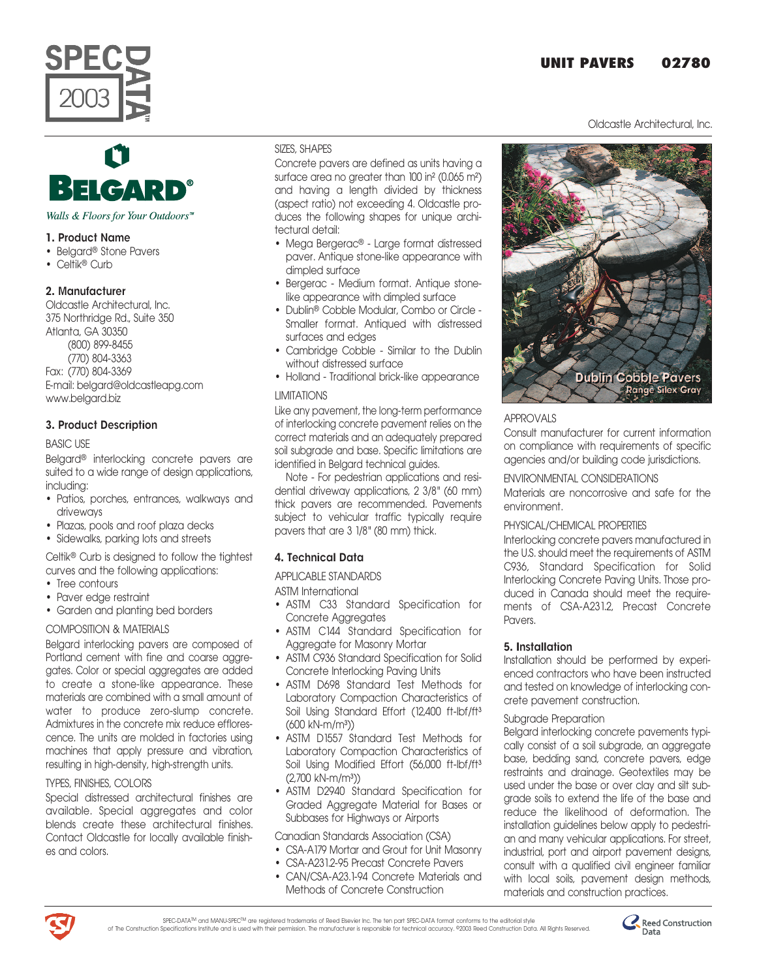# **UNIT PAVERS 02780**

Oldcastle Architectural, Inc.



# Walls & Floors for Your Outdoors<sup>™</sup>

# 1. Product Name

- Belgard<sup>®</sup> Stone Pavers
- Celtik<sup>®</sup> Curb

# 2. Manufacturer

Oldcastle Architectural, Inc. 375 Northridge Rd., Suite 350 Atlanta, GA 30350

(800) 899-8455

(770) 804-3363

Fax: (770) 804-3369 E-mail: belgard@oldcastleapg.com www.belgard.biz

# 3. Product Description

BASIC USE

Belgardª interlocking concrete pavers are suited to a wide range of design applications, including:

- Patios, porches, entrances, walkways and driveways
- Plazas, pools and roof plaza decks
- Sidewalks, parking lots and streets

Celtikª Curb is designed to follow the tightest curves and the following applications:

- Tree contours
- Paver edge restraint
- Garden and planting bed borders

# COMPOSITION & MATERIALS

Belgard interlocking pavers are composed of Portland cement with fine and coarse aggregates. Color or special aggregates are added to create a stone-like appearance. These materials are combined with a small amount of water to produce zero-slump concrete. Admixtures in the concrete mix reduce efflorescence. The units are molded in factories using machines that apply pressure and vibration, resulting in high-density, high-strength units.

# TYPES, FINISHES, COLORS

Special distressed architectural finishes are available. Special aggregates and color blends create these architectural finishes. Contact Oldcastle for locally available finishes and colors.

## SIZES, SHAPES

Concrete pavers are defined as units having a surface area no greater than 100 in² (0.065 m²) and having a length divided by thickness (aspect ratio) not exceeding 4. Oldcastle produces the following shapes for unique architectural detail:

- Mega Bergerac<sup>®</sup> Large format distressed paver. Antique stone-like appearance with dimpled surface
- Bergerac Medium format. Antique stonelike appearance with dimpled surface
- Dublinª Cobble Modular, Combo or Circle Smaller format. Antiqued with distressed surfaces and edges
- Cambridge Cobble Similar to the Dublin without distressed surface
- Holland Traditional brick-like appearance

# LIMITATIONS

Like any pavement, the long-term performance of interlocking concrete pavement relies on the correct materials and an adequately prepared soil subgrade and base. Specific limitations are identified in Belgard technical guides.

Note - For pedestrian applications and residential driveway applications, 2 3/8" (60 mm) thick pavers are recommended. Pavements subject to vehicular traffic typically require pavers that are 3 1/8" (80 mm) thick.

# 4. Technical Data

APPLICABLE STANDARDS

ASTM International

- ASTM C33 Standard Specification for Concrete Aggregates
- ASTM C144 Standard Specification for Aggregate for Masonry Mortar
- ASTM C936 Standard Specification for Solid Concrete Interlocking Paving Units
- ASTM D698 Standard Test Methods for Laboratory Compaction Characteristics of Soil Using Standard Effort (12,400 ft-Ibf/ft<sup>3</sup> (600 kN-m/m³))
- ASTM D1557 Standard Test Methods for Laboratory Compaction Characteristics of Soil Using Modified Effort (56,000 ft-lbf/ft<sup>3</sup>  $(2,700 \text{ kN-m/m}^3)$
- ASTM D2940 Standard Specification for Graded Aggregate Material for Bases or Subbases for Highways or Airports

# Canadian Standards Association (CSA)

- CSA-A179 Mortar and Grout for Unit Masonry
- CSA-A231.2-95 Precast Concrete Pavers
- CAN/CSA-A23.1-94 Concrete Materials and Methods of Concrete Construction



# APPROVALS

Consult manufacturer for current information on compliance with requirements of specific agencies and/or building code jurisdictions.

# ENVIRONMENTAL CONSIDERATIONS

Materials are noncorrosive and safe for the environment.

# PHYSICAL/CHEMICAL PROPERTIES

Interlocking concrete pavers manufactured in the U.S. should meet the requirements of ASTM C936, Standard Specification for Solid Interlocking Concrete Paving Units. Those produced in Canada should meet the requirements of CSA-A231.2, Precast Concrete Pavers.

# 5. Installation

Installation should be performed by experienced contractors who have been instructed and tested on knowledge of interlocking concrete pavement construction.

# Subgrade Preparation

Belgard interlocking concrete pavements typically consist of a soil subgrade, an aggregate base, bedding sand, concrete pavers, edge restraints and drainage. Geotextiles may be used under the base or over clay and silt subgrade soils to extend the life of the base and reduce the likelihood of deformation. The installation guidelines below apply to pedestrian and many vehicular applications. For street, industrial, port and airport pavement designs, consult with a qualified civil engineer familiar with local soils, pavement design methods, materials and construction practices.



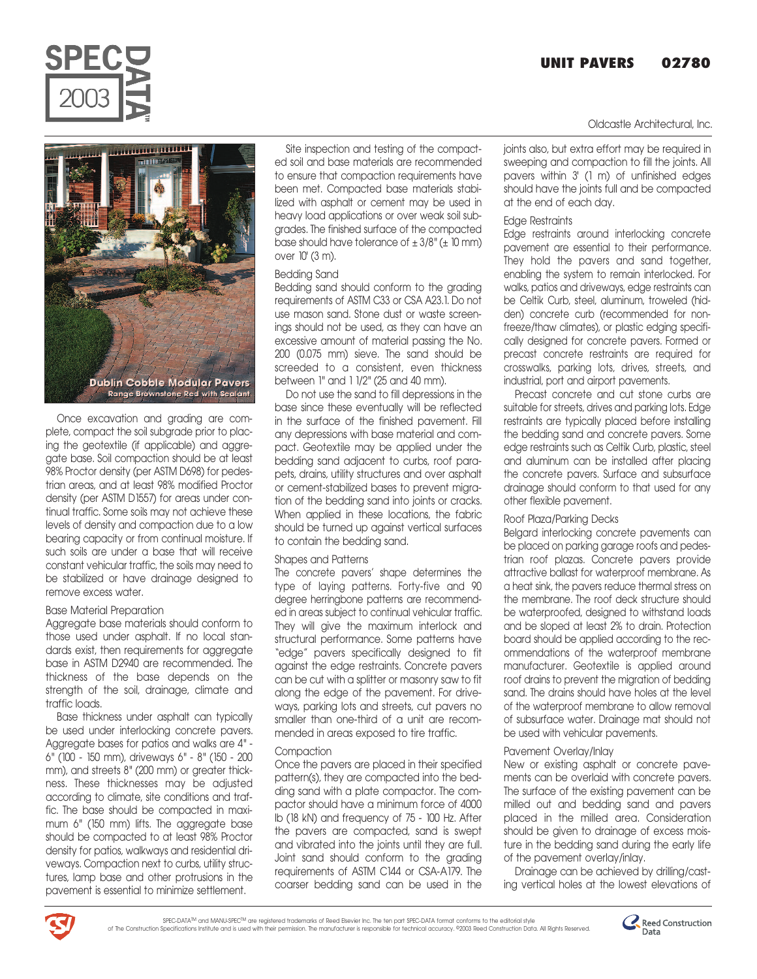# **UNIT PAVERS 02780**



Once excavation and grading are complete, compact the soil subgrade prior to placing the geotextile (if applicable) and aggregate base. Soil compaction should be at least 98% Proctor density (per ASTM D698) for pedestrian areas, and at least 98% modified Proctor density (per ASTM D1557) for areas under continual traffic. Some soils may not achieve these levels of density and compaction due to a low bearing capacity or from continual moisture. If such soils are under a base that will receive constant vehicular traffic, the soils may need to be stabilized or have drainage designed to remove excess water.

# Base Material Preparation

Aggregate base materials should conform to those used under asphalt. If no local standards exist, then requirements for aggregate base in ASTM D2940 are recommended. The thickness of the base depends on the strength of the soil, drainage, climate and traffic loads.

Base thickness under asphalt can typically be used under interlocking concrete pavers. Aggregate bases for patios and walks are 4" - 6" (100 - 150 mm), driveways 6" - 8" (150 - 200 mm), and streets 8" (200 mm) or greater thickness. These thicknesses may be adjusted according to climate, site conditions and traffic. The base should be compacted in maximum 6" (150 mm) lifts. The aggregate base should be compacted to at least 98% Proctor density for patios, walkways and residential driveways. Compaction next to curbs, utility structures, lamp base and other protrusions in the pavement is essential to minimize settlement.

Site inspection and testing of the compacted soil and base materials are recommended to ensure that compaction requirements have been met. Compacted base materials stabilized with asphalt or cement may be used in heavy load applications or over weak soil subgrades. The finished surface of the compacted base should have tolerance of  $\pm$  3/8" ( $\pm$  10 mm) over 10' (3 m).

## Bedding Sand

Bedding sand should conform to the grading requirements of ASTM C33 or CSA A23.1. Do not use mason sand. Stone dust or waste screenings should not be used, as they can have an excessive amount of material passing the No. 200 (0.075 mm) sieve. The sand should be screeded to a consistent, even thickness between 1" and 1 1/2" (25 and 40 mm).

Do not use the sand to fill depressions in the base since these eventually will be reflected in the surface of the finished pavement. Fill any depressions with base material and compact. Geotextile may be applied under the bedding sand adjacent to curbs, roof parapets, drains, utility structures and over asphalt or cement-stabilized bases to prevent migration of the bedding sand into joints or cracks. When applied in these locations, the fabric should be turned up against vertical surfaces to contain the bedding sand.

# Shapes and Patterns

The concrete pavers' shape determines the type of laying patterns. Forty-five and 90 degree herringbone patterns are recommended in areas subject to continual vehicular traffic. They will give the maximum interlock and structural performance. Some patterns have "edge" pavers specifically designed to fit against the edge restraints. Concrete pavers can be cut with a splitter or masonry saw to fit along the edge of the pavement. For driveways, parking lots and streets, cut pavers no smaller than one-third of a unit are recommended in areas exposed to tire traffic.

#### Compaction

Once the pavers are placed in their specified pattern(s), they are compacted into the bedding sand with a plate compactor. The compactor should have a minimum force of 4000 lb (18 kN) and frequency of 75 - 100 Hz. After the pavers are compacted, sand is swept and vibrated into the joints until they are full. Joint sand should conform to the grading requirements of ASTM C144 or CSA-A179. The coarser bedding sand can be used in the Oldcastle Architectural, Inc.

joints also, but extra effort may be required in sweeping and compaction to fill the joints. All pavers within 3' (1 m) of unfinished edges should have the joints full and be compacted at the end of each day.

## Edge Restraints

Edge restraints around interlocking concrete pavement are essential to their performance. They hold the pavers and sand together, enabling the system to remain interlocked. For walks, patios and driveways, edge restraints can be Celtik Curb, steel, aluminum, troweled (hidden) concrete curb (recommended for nonfreeze/thaw climates), or plastic edging specifically designed for concrete pavers. Formed or precast concrete restraints are required for crosswalks, parking lots, drives, streets, and industrial, port and airport pavements.

Precast concrete and cut stone curbs are suitable for streets, drives and parking lots. Edge restraints are typically placed before installing the bedding sand and concrete pavers. Some edge restraints such as Celtik Curb, plastic, steel and aluminum can be installed after placing the concrete pavers. Surface and subsurface drainage should conform to that used for any other flexible pavement.

# Roof Plaza/Parking Decks

Belgard interlocking concrete pavements can be placed on parking garage roofs and pedestrian roof plazas. Concrete pavers provide attractive ballast for waterproof membrane. As a heat sink, the pavers reduce thermal stress on the membrane. The roof deck structure should be waterproofed, designed to withstand loads and be sloped at least 2% to drain. Protection board should be applied according to the recommendations of the waterproof membrane manufacturer. Geotextile is applied around roof drains to prevent the migration of bedding sand. The drains should have holes at the level of the waterproof membrane to allow removal of subsurface water. Drainage mat should not be used with vehicular pavements.

# Pavement Overlay/Inlay

New or existing asphalt or concrete pavements can be overlaid with concrete pavers. The surface of the existing pavement can be milled out and bedding sand and pavers placed in the milled area. Consideration should be given to drainage of excess moisture in the bedding sand during the early life of the pavement overlay/inlay.

Drainage can be achieved by drilling/casting vertical holes at the lowest elevations of